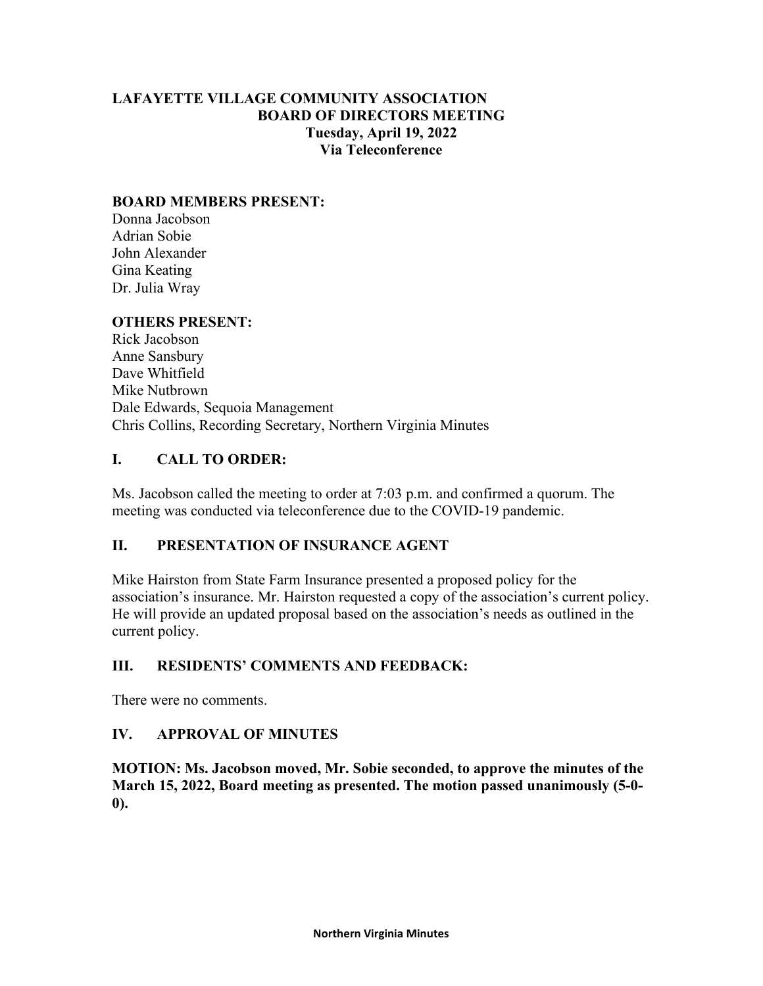# **LAFAYETTE VILLAGE COMMUNITY ASSOCIATION BOARD OF DIRECTORS MEETING Tuesday, April 19, 2022 Via Teleconference**

#### **BOARD MEMBERS PRESENT:**

Donna Jacobson Adrian Sobie John Alexander Gina Keating Dr. Julia Wray

#### **OTHERS PRESENT:**

Rick Jacobson Anne Sansbury Dave Whitfield Mike Nutbrown Dale Edwards, Sequoia Management Chris Collins, Recording Secretary, Northern Virginia Minutes

#### **I. CALL TO ORDER:**

Ms. Jacobson called the meeting to order at 7:03 p.m. and confirmed a quorum. The meeting was conducted via teleconference due to the COVID-19 pandemic.

# **II. PRESENTATION OF INSURANCE AGENT**

Mike Hairston from State Farm Insurance presented a proposed policy for the association's insurance. Mr. Hairston requested a copy of the association's current policy. He will provide an updated proposal based on the association's needs as outlined in the current policy.

#### **III. RESIDENTS' COMMENTS AND FEEDBACK:**

There were no comments.

#### **IV. APPROVAL OF MINUTES**

**MOTION: Ms. Jacobson moved, Mr. Sobie seconded, to approve the minutes of the March 15, 2022, Board meeting as presented. The motion passed unanimously (5-0- 0).**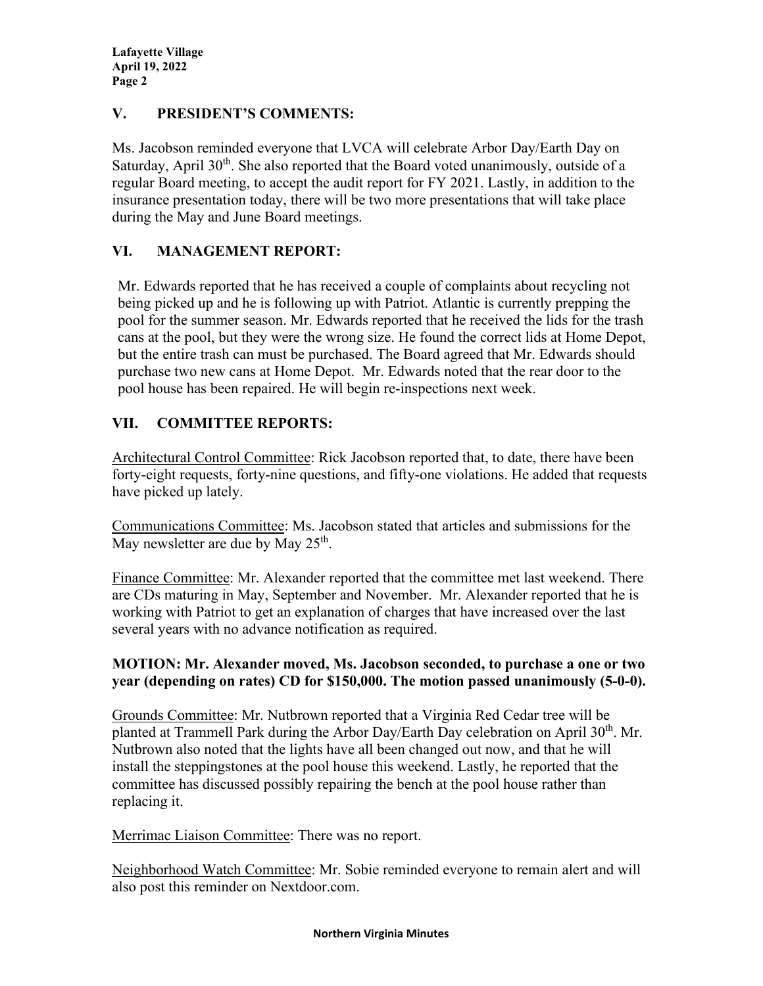**Lafayette Village April 19, 2022 Page 2**

# **V. PRESIDENT'S COMMENTS:**

Ms. Jacobson reminded everyone that LVCA will celebrate Arbor Day/Earth Day on Saturday, April  $30<sup>th</sup>$ . She also reported that the Board voted unanimously, outside of a regular Board meeting, to accept the audit report for FY 2021. Lastly, in addition to the insurance presentation today, there will be two more presentations that will take place during the May and June Board meetings.

# **VI. MANAGEMENT REPORT:**

Mr. Edwards reported that he has received a couple of complaints about recycling not being picked up and he is following up with Patriot. Atlantic is currently prepping the pool for the summer season. Mr. Edwards reported that he received the lids for the trash cans at the pool, but they were the wrong size. He found the correct lids at Home Depot, but the entire trash can must be purchased. The Board agreed that Mr. Edwards should purchase two new cans at Home Depot. Mr. Edwards noted that the rear door to the pool house has been repaired. He will begin re-inspections next week.

# **VII. COMMITTEE REPORTS:**

Architectural Control Committee: Rick Jacobson reported that, to date, there have been forty-eight requests, forty-nine questions, and fifty-one violations. He added that requests have picked up lately.

Communications Committee: Ms. Jacobson stated that articles and submissions for the May newsletter are due by May  $25<sup>th</sup>$ .

Finance Committee: Mr. Alexander reported that the committee met last weekend. There are CDs maturing in May, September and November. Mr. Alexander reported that he is working with Patriot to get an explanation of charges that have increased over the last several years with no advance notification as required.

# **MOTION: Mr. Alexander moved, Ms. Jacobson seconded, to purchase a one or two year (depending on rates) CD for \$150,000. The motion passed unanimously (5-0-0).**

Grounds Committee: Mr. Nutbrown reported that a Virginia Red Cedar tree will be planted at Trammell Park during the Arbor Day/Earth Day celebration on April  $30<sup>th</sup>$ . Mr. Nutbrown also noted that the lights have all been changed out now, and that he will install the steppingstones at the pool house this weekend. Lastly, he reported that the committee has discussed possibly repairing the bench at the pool house rather than replacing it.

Merrimac Liaison Committee: There was no report.

Neighborhood Watch Committee: Mr. Sobie reminded everyone to remain alert and will also post this reminder on Nextdoor.com.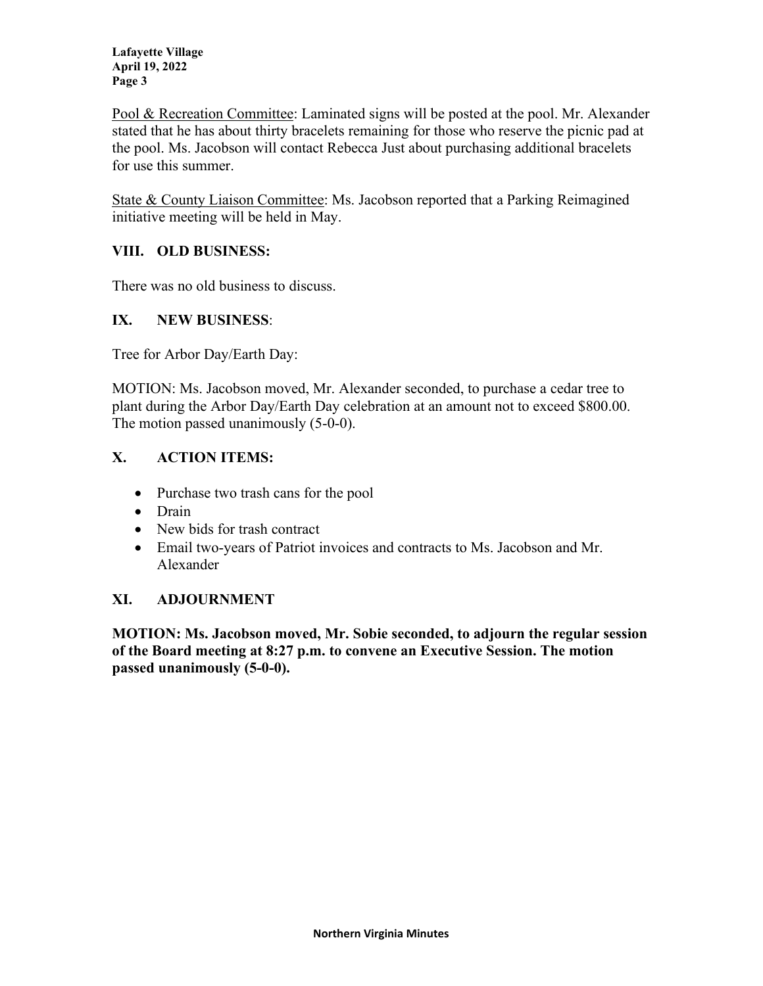**Lafayette Village April 19, 2022 Page 3**

Pool & Recreation Committee: Laminated signs will be posted at the pool. Mr. Alexander stated that he has about thirty bracelets remaining for those who reserve the picnic pad at the pool. Ms. Jacobson will contact Rebecca Just about purchasing additional bracelets for use this summer.

State & County Liaison Committee: Ms. Jacobson reported that a Parking Reimagined initiative meeting will be held in May.

# **VIII. OLD BUSINESS:**

There was no old business to discuss.

# **IX. NEW BUSINESS**:

Tree for Arbor Day/Earth Day:

MOTION: Ms. Jacobson moved, Mr. Alexander seconded, to purchase a cedar tree to plant during the Arbor Day/Earth Day celebration at an amount not to exceed \$800.00. The motion passed unanimously (5-0-0).

# **X. ACTION ITEMS:**

- Purchase two trash cans for the pool
- Drain
- New bids for trash contract
- Email two-years of Patriot invoices and contracts to Ms. Jacobson and Mr. Alexander

# **XI. ADJOURNMENT**

**MOTION: Ms. Jacobson moved, Mr. Sobie seconded, to adjourn the regular session of the Board meeting at 8:27 p.m. to convene an Executive Session. The motion passed unanimously (5-0-0).**